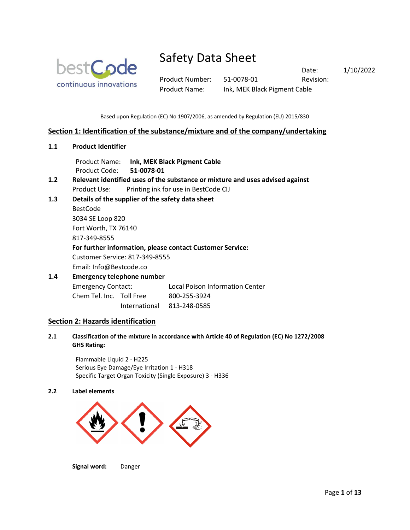

Product Number: 51-0078-01 Revision: Product Name: Ink, MEK Black Pigment Cable

Date: 1/10/2022

Based upon Regulation (EC) No 1907/2006, as amended by Regulation (EU) 2015/830

## **Section 1: Identification of the substance/mixture and of the company/undertaking**

**1.1 Product Identifier**

Product Name: **Ink, MEK Black Pigment Cable** Product Code: **51-0078-01**

- **1.2 Relevant identified uses of the substance or mixture and uses advised against** Product Use: Printing ink for use in BestCode CIJ
- **1.3 Details of the supplier of the safety data sheet**

BestCode 3034 SE Loop 820 Fort Worth, TX 76140

817-349-8555

## **For further information, please contact Customer Service:**

Customer Service: 817-349-8555

Email: Info@Bestcode.co

# **1.4 Emergency telephone number** Emergency Contact: Local Poison Information Center

Chem Tel. Inc. Toll Free 800-255-3924

International 813-248-0585

## **Section 2: Hazards identification**

**2.1 Classification of the mixture in accordance with Article 40 of Regulation (EC) No 1272/2008 GHS Rating:**

Flammable Liquid 2 - H225 Serious Eye Damage/Eye Irritation 1 - H318 Specific Target Organ Toxicity (Single Exposure) 3 - H336

## **2.2 Label elements**



**Signal word:** Danger

Page **1** of **13**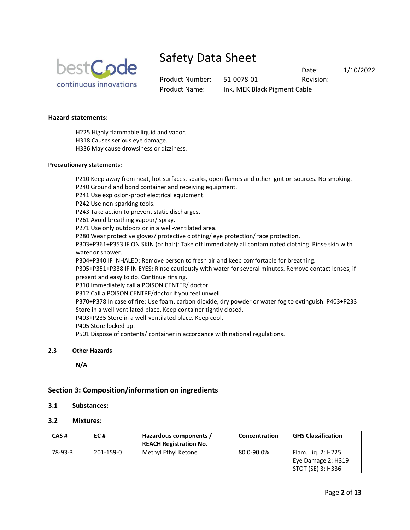

Product Number: 51-0078-01 Revision: Product Name: Ink, MEK Black Pigment Cable

Date: 1/10/2022

## **Hazard statements:**

H225 Highly flammable liquid and vapor.

H318 Causes serious eye damage.

H336 May cause drowsiness or dizziness.

### **Precautionary statements:**

P210 Keep away from heat, hot surfaces, sparks, open flames and other ignition sources. No smoking.

P240 Ground and bond container and receiving equipment.

P241 Use explosion-proof electrical equipment.

P242 Use non-sparking tools.

P243 Take action to prevent static discharges.

P261 Avoid breathing vapour/ spray.

P271 Use only outdoors or in a well-ventilated area.

P280 Wear protective gloves/ protective clothing/ eye protection/ face protection.

P303+P361+P353 IF ON SKIN (or hair): Take off immediately all contaminated clothing. Rinse skin with water or shower.

P304+P340 IF INHALED: Remove person to fresh air and keep comfortable for breathing.

P305+P351+P338 IF IN EYES: Rinse cautiously with water for several minutes. Remove contact lenses, if present and easy to do. Continue rinsing.

P310 Immediately call a POISON CENTER/ doctor.

P312 Call a POISON CENTRE/doctor if you feel unwell.

P370+P378 In case of fire: Use foam, carbon dioxide, dry powder or water fog to extinguish. P403+P233 Store in a well-ventilated place. Keep container tightly closed.

P403+P235 Store in a well-ventilated place. Keep cool.

P405 Store locked up.

P501 Dispose of contents/ container in accordance with national regulations.

## **2.3 Other Hazards**

**N/A**

# **Section 3: Composition/information on ingredients**

## **3.1 Substances:**

## **3.2 Mixtures:**

| CAS#    | EC#       | Hazardous components /<br><b>REACH Registration No.</b> | <b>Concentration</b> | <b>GHS Classification</b> |
|---------|-----------|---------------------------------------------------------|----------------------|---------------------------|
| 78-93-3 | 201-159-0 | Methyl Ethyl Ketone                                     | 80.0-90.0%           | Flam. Lig. 2: H225        |
|         |           |                                                         |                      | Eye Damage 2: H319        |
|         |           |                                                         |                      | STOT (SE) 3: H336         |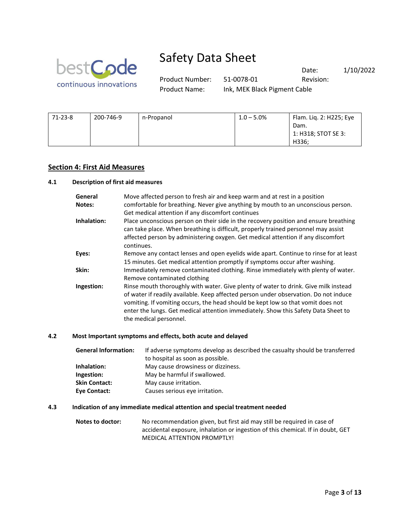

Product Number: 51-0078-01 Revision: Product Name: Ink, MEK Black Pigment Cable

Date: 1/10/2022

| $71 - 23 - 8$ | 200-746-9 | n-Propanol | $1.0 - 5.0\%$ | Flam. Lig. 2: H225; Eye |
|---------------|-----------|------------|---------------|-------------------------|
|               |           |            |               | Dam.                    |
|               |           |            |               | $1:$ H318; STOT SE 3:   |
|               |           |            |               | H336:                   |

## **Section 4: First Aid Measures**

#### **4.1 Description of first aid measures**

| General<br>Notes: | Move affected person to fresh air and keep warm and at rest in a position<br>comfortable for breathing. Never give anything by mouth to an unconscious person.<br>Get medical attention if any discomfort continues                                                                                                                                                             |
|-------------------|---------------------------------------------------------------------------------------------------------------------------------------------------------------------------------------------------------------------------------------------------------------------------------------------------------------------------------------------------------------------------------|
| Inhalation:       | Place unconscious person on their side in the recovery position and ensure breathing<br>can take place. When breathing is difficult, properly trained personnel may assist<br>affected person by administering oxygen. Get medical attention if any discomfort<br>continues.                                                                                                    |
| Eyes:             | Remove any contact lenses and open eyelids wide apart. Continue to rinse for at least<br>15 minutes. Get medical attention promptly if symptoms occur after washing.                                                                                                                                                                                                            |
| Skin:             | Immediately remove contaminated clothing. Rinse immediately with plenty of water.<br>Remove contaminated clothing                                                                                                                                                                                                                                                               |
| Ingestion:        | Rinse mouth thoroughly with water. Give plenty of water to drink. Give milk instead<br>of water if readily available. Keep affected person under observation. Do not induce<br>vomiting. If vomiting occurs, the head should be kept low so that vomit does not<br>enter the lungs. Get medical attention immediately. Show this Safety Data Sheet to<br>the medical personnel. |

#### **4.2 Most Important symptoms and effects, both acute and delayed**

**General Information:** If adverse symptoms develop as described the casualty should be transferred to hospital as soon as possible. **Inhalation:** May cause drowsiness or dizziness. **Ingestion:** May be harmful if swallowed. **Skin Contact:** May cause irritation. **Eye Contact:** Causes serious eye irritation.

#### **4.3 Indication of any immediate medical attention and special treatment needed**

**Notes to doctor:** No recommendation given, but first aid may still be required in case of accidental exposure, inhalation or ingestion of this chemical. If in doubt, GET MEDICAL ATTENTION PROMPTLY!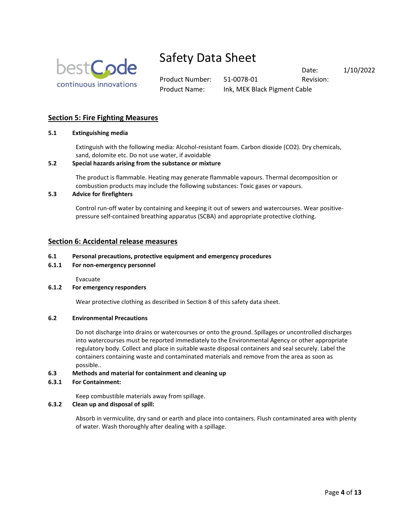

Product Number: 51-0078-01 Revision: Product Name: Ink, MEK Black Pigment Cable

Date: 1/10/2022

# **Section 5: Fire Fighting Measures**

### **5.1 Extinguishing media**

Extinguish with the following media: Alcohol-resistant foam. Carbon dioxide (CO2). Dry chemicals, sand, dolomite etc. Do not use water, if avoidable

### **5.2 Special hazards arising from the substance or mixture**

The product is flammable. Heating may generate flammable vapours. Thermal decomposition or combustion products may include the following substances: Toxic gases or vapours.

#### **5.3 Advice for firefighters**

Control run-off water by containing and keeping it out of sewers and watercourses. Wear positivepressure self-contained breathing apparatus (SCBA) and appropriate protective clothing.

## **Section 6: Accidental release measures**

#### **6.1 Personal precautions, protective equipment and emergency procedures**

**6.1.1 For non-emergency personnel**

Evacuate

#### **6.1.2 For emergency responders**

Wear protective clothing as described in Section 8 of this safety data sheet.

#### **6.2 Environmental Precautions**

Do not discharge into drains or watercourses or onto the ground. Spillages or uncontrolled discharges into watercourses must be reported immediately to the Environmental Agency or other appropriate regulatory body. Collect and place in suitable waste disposal containers and seal securely. Label the containers containing waste and contaminated materials and remove from the area as soon as possible..

#### **6.3 Methods and material for containment and cleaning up**

#### **6.3.1 For Containment:**

Keep combustible materials away from spillage.

### **6.3.2 Clean up and disposal of spill:**

Absorb in vermiculite, dry sand or earth and place into containers. Flush contaminated area with plenty of water. Wash thoroughly after dealing with a spillage.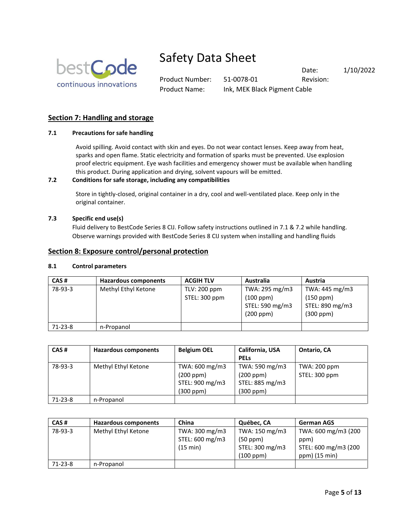

Product Number: 51-0078-01 Revision: Product Name: Ink, MEK Black Pigment Cable

Date: 1/10/2022

# **Section 7: Handling and storage**

## **7.1 Precautions for safe handling**

Avoid spilling. Avoid contact with skin and eyes. Do not wear contact lenses. Keep away from heat, sparks and open flame. Static electricity and formation of sparks must be prevented. Use explosion proof electric equipment. Eye wash facilities and emergency shower must be available when handling this product. During application and drying, solvent vapours will be emitted.

### **7.2 Conditions for safe storage, including any compatibilities**

Store in tightly-closed, original container in a dry, cool and well-ventilated place. Keep only in the original container.

### **7.3 Specific end use(s)**

Fluid delivery to BestCode Series 8 CIJ. Follow safety instructions outlined in 7.1 & 7.2 while handling. Observe warnings provided with BestCode Series 8 CIJ system when installing and handling fluids

## **Section 8: Exposure control/personal protection**

#### **8.1 Control parameters**

| CAS#      | Hazardous components | <b>ACGIH TLV</b> | Australia       | Austria         |
|-----------|----------------------|------------------|-----------------|-----------------|
| 78-93-3   | Methyl Ethyl Ketone  | TLV: 200 ppm     | TWA: 295 mg/m3  | TWA: 445 mg/m3  |
|           |                      | STEL: 300 ppm    | (100 ppm)       | (150 ppm)       |
|           |                      |                  | STEL: 590 mg/m3 | STEL: 890 mg/m3 |
|           |                      |                  | (200 ppm)       | (300 ppm)       |
| $71-23-8$ | n-Propanol           |                  |                 |                 |

| CAS#    | Hazardous components | <b>Belgium OEL</b> | California, USA | Ontario, CA   |
|---------|----------------------|--------------------|-----------------|---------------|
|         |                      |                    | <b>PELS</b>     |               |
| 78-93-3 | Methyl Ethyl Ketone  | TWA: 600 mg/m3     | TWA: 590 mg/m3  | TWA: 200 ppm  |
|         |                      | (200 ppm)          | (200 ppm)       | STEL: 300 ppm |
|         |                      | STEL: 900 mg/m3    | STEL: 885 mg/m3 |               |
|         |                      | (300 ppm)          | (300 ppm)       |               |
| 71-23-8 | n-Propanol           |                    |                 |               |

| CAS#      | <b>Hazardous components</b> | China           | Québec, CA      | <b>German AGS</b>    |
|-----------|-----------------------------|-----------------|-----------------|----------------------|
| 78-93-3   | Methyl Ethyl Ketone         | TWA: 300 mg/m3  | TWA: 150 mg/m3  | TWA: 600 mg/m3 (200  |
|           |                             | STEL: 600 mg/m3 | (50 ppm)        | ppm)                 |
|           |                             | (15 min)        | STEL: 300 mg/m3 | STEL: 600 mg/m3 (200 |
|           |                             |                 | (100 ppm)       | ppm) (15 min)        |
| $71-23-8$ | n-Propanol                  |                 |                 |                      |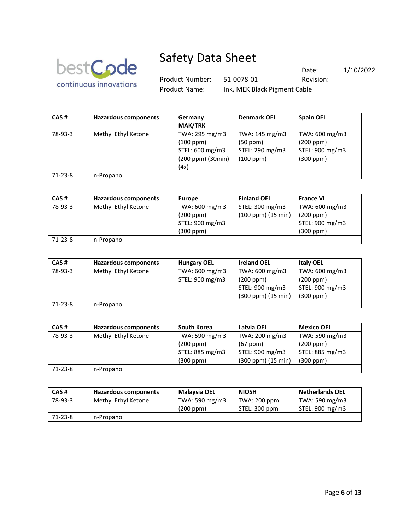

71-23-8 n-Propanol

78-93-3

# Safety Data Sheet

(4x)

Product Number: 51-0078-01 Revision: Product Name: Ink, MEK Black Pigment Cable

(100 ppm)

Date: 1/10/2022

(300 ppm)

| CAS#    | Hazardous components | Germany<br><b>MAK/TRK</b>                      | <b>Denmark OEL</b>                            | <b>Spain OEL</b>                               |
|---------|----------------------|------------------------------------------------|-----------------------------------------------|------------------------------------------------|
| 78-93-3 | Methyl Ethyl Ketone  | TWA: 295 mg/m3<br>(100 ppm)<br>STEL: 600 mg/m3 | TWA: 145 mg/m3<br>(50 ppm)<br>STEL: 290 mg/m3 | TWA: 600 mg/m3<br>(200 ppm)<br>STEL: 900 mg/m3 |

| CAS#    | <b>Hazardous components</b> | <b>Europe</b>   | <b>Finland OEL</b> | <b>France VL</b> |
|---------|-----------------------------|-----------------|--------------------|------------------|
| 78-93-3 | Methyl Ethyl Ketone         | TWA: 600 mg/m3  | STEL: 300 mg/m3    | TWA: 600 mg/m3   |
|         |                             | (200 ppm)       | (100 ppm) (15 min) | (200 ppm)        |
|         |                             | STEL: 900 mg/m3 |                    | STEL: 900 mg/m3  |
|         |                             | (300 ppm)       |                    | (300 ppm)        |
| 71-23-8 | n-Propanol                  |                 |                    |                  |

(200 ppm) (30min)

| CAS#    | <b>Hazardous components</b> | <b>Hungary OEL</b> | <b>Ireland OEL</b> | <b>Italy OEL</b> |
|---------|-----------------------------|--------------------|--------------------|------------------|
| 78-93-3 | Methyl Ethyl Ketone         | TWA: 600 mg/m3     | TWA: 600 mg/m3     | TWA: 600 mg/m3   |
|         |                             | STEL: 900 mg/m3    | (200 ppm)          | (200 ppm)        |
|         |                             |                    | STEL: 900 mg/m3    | STEL: 900 mg/m3  |
|         |                             |                    | (300 ppm) (15 min) | $(300$ ppm $)$   |
| 71-23-8 | n-Propanol                  |                    |                    |                  |

| CAS#    | <b>Hazardous components</b> | South Korea     | Latvia OEL         | <b>Mexico OEL</b> |
|---------|-----------------------------|-----------------|--------------------|-------------------|
| 78-93-3 | Methyl Ethyl Ketone         | TWA: 590 mg/m3  | TWA: 200 mg/m3     | TWA: 590 mg/m3    |
|         |                             | (200 ppm)       | $(67$ ppm $)$      | (200 ppm)         |
|         |                             | STEL: 885 mg/m3 | STEL: 900 mg/m3    | STEL: 885 mg/m3   |
|         |                             | (300 ppm)       | (300 ppm) (15 min) | (300 ppm)         |
| 71-23-8 | n-Propanol                  |                 |                    |                   |

| CAS#          | <b>Hazardous components</b> | Malaysia OEL   | <b>NIOSH</b>  | <b>Netherlands OEL</b> |
|---------------|-----------------------------|----------------|---------------|------------------------|
| 78-93-3       | Methyl Ethyl Ketone         | TWA: 590 mg/m3 | TWA: 200 ppm  | TWA: 590 mg/m3         |
|               |                             | (200 ppm)      | STEL: 300 ppm | STEL: 900 mg/m3        |
| $71 - 23 - 8$ | n-Propanol                  |                |               |                        |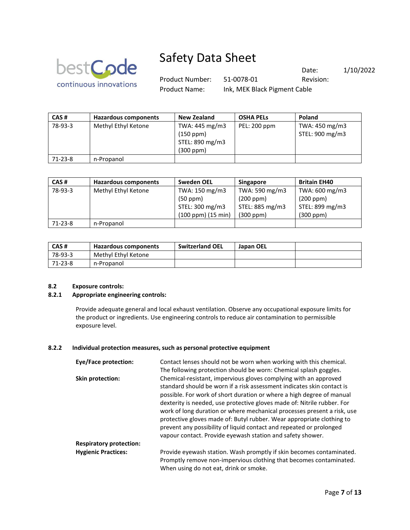

Product Number: 51-0078-01 Revision: Product Name: Ink, MEK Black Pigment Cable

Date: 1/10/2022

| CAS#    | Hazardous components | <b>New Zealand</b> | <b>OSHA PELS</b> | Poland          |
|---------|----------------------|--------------------|------------------|-----------------|
| 78-93-3 | Methyl Ethyl Ketone  | TWA: 445 mg/m3     | PEL: 200 ppm     | TWA: 450 mg/m3  |
|         |                      | $(150$ ppm $)$     |                  | STEL: 900 mg/m3 |
|         |                      | STEL: 890 mg/m3    |                  |                 |
|         |                      | (300 ppm)          |                  |                 |
| 71-23-8 | n-Propanol           |                    |                  |                 |

| CAS#      | <b>Hazardous components</b> | <b>Sweden OEL</b>         | <b>Singapore</b> | <b>Britain EH40</b> |
|-----------|-----------------------------|---------------------------|------------------|---------------------|
| 78-93-3   | Methyl Ethyl Ketone         | TWA: 150 mg/m3            | TWA: 590 mg/m3   | TWA: 600 mg/m3      |
|           |                             | (50 ppm)                  | (200 ppm)        | (200 ppm)           |
|           |                             | STEL: 300 mg/m3           | STEL: 885 mg/m3  | STEL: 899 mg/m3     |
|           |                             | $(100$ ppm $)(15$ min $)$ | $(300$ ppm $)$   | (300 ppm)           |
| $71-23-8$ | n-Propanol                  |                           |                  |                     |

| CAS#    | Hazardous components | <b>Switzerland OEL</b> | Japan OEL |  |
|---------|----------------------|------------------------|-----------|--|
| 78-93-3 | Methyl Ethyl Ketone  |                        |           |  |
| 71-23-8 | n-Propanol           |                        |           |  |

## **8.2 Exposure controls:**

#### **8.2.1 Appropriate engineering controls:**

Provide adequate general and local exhaust ventilation. Observe any occupational exposure limits for the product or ingredients. Use engineering controls to reduce air contamination to permissible exposure level.

#### **8.2.2 Individual protection measures, such as personal protective equipment**

| Eye/Face protection:           | Contact lenses should not be worn when working with this chemical.                                                                                                                                                                                                                                                                                                                                                                                                                                                        |
|--------------------------------|---------------------------------------------------------------------------------------------------------------------------------------------------------------------------------------------------------------------------------------------------------------------------------------------------------------------------------------------------------------------------------------------------------------------------------------------------------------------------------------------------------------------------|
|                                | The following protection should be worn: Chemical splash goggles.                                                                                                                                                                                                                                                                                                                                                                                                                                                         |
| Skin protection:               | Chemical-resistant, impervious gloves complying with an approved<br>standard should be worn if a risk assessment indicates skin contact is<br>possible. For work of short duration or where a high degree of manual<br>dexterity is needed, use protective gloves made of: Nitrile rubber. For<br>work of long duration or where mechanical processes present a risk, use<br>protective gloves made of: Butyl rubber. Wear appropriate clothing to<br>prevent any possibility of liquid contact and repeated or prolonged |
|                                | vapour contact. Provide eyewash station and safety shower.                                                                                                                                                                                                                                                                                                                                                                                                                                                                |
| <b>Respiratory protection:</b> |                                                                                                                                                                                                                                                                                                                                                                                                                                                                                                                           |
| <b>Hygienic Practices:</b>     | Provide eyewash station. Wash promptly if skin becomes contaminated.<br>Promptly remove non-impervious clothing that becomes contaminated.<br>When using do not eat, drink or smoke.                                                                                                                                                                                                                                                                                                                                      |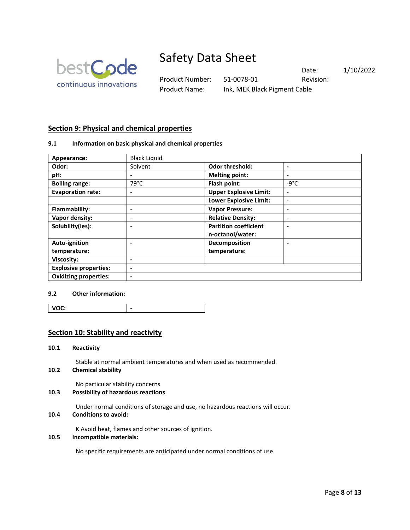

Product Number: 51-0078-01 Revision: Product Name: Ink, MEK Black Pigment Cable

Date: 1/10/2022

# **Section 9: Physical and chemical properties**

### **9.1 Information on basic physical and chemical properties**

| Appearance:                  | <b>Black Liquid</b>      |                               |                          |
|------------------------------|--------------------------|-------------------------------|--------------------------|
| Odor:                        | Solvent                  | <b>Odor threshold:</b>        | $\blacksquare$           |
| pH:                          | $\overline{\phantom{0}}$ | <b>Melting point:</b>         | ۰                        |
| <b>Boiling range:</b>        | $79^{\circ}$ C           | Flash point:                  | $-9^{\circ}$ C           |
| <b>Evaporation rate:</b>     | -                        | <b>Upper Explosive Limit:</b> | ٠                        |
|                              |                          | <b>Lower Explosive Limit:</b> | $\overline{\phantom{a}}$ |
| Flammability:                |                          | <b>Vapor Pressure:</b>        |                          |
| Vapor density:               | -                        | <b>Relative Density:</b>      |                          |
| Solubility(ies):             |                          | <b>Partition coefficient</b>  |                          |
|                              |                          | n-octanol/water:              |                          |
| Auto-ignition                |                          | Decomposition                 |                          |
| temperature:                 |                          | temperature:                  |                          |
| <b>Viscosity:</b>            | ۰                        |                               |                          |
| <b>Explosive properties:</b> | $\blacksquare$           |                               |                          |
| <b>Oxidizing properties:</b> | ۰                        |                               |                          |

### **9.2 Other information:**

| /OC:<br>- |
|-----------|
|-----------|

## **Section 10: Stability and reactivity**

#### **10.1 Reactivity**

Stable at normal ambient temperatures and when used as recommended.

**10.2 Chemical stability**

No particular stability concerns

## **10.3 Possibility of hazardous reactions**

Under normal conditions of storage and use, no hazardous reactions will occur.

#### **10.4 Conditions to avoid:**

K Avoid heat, flames and other sources of ignition.

## **10.5 Incompatible materials:**

No specific requirements are anticipated under normal conditions of use.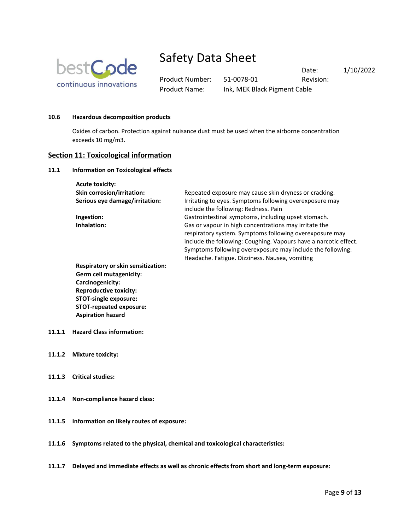

Product Number: 51-0078-01 Revision: Product Name: Ink, MEK Black Pigment Cable

Date: 1/10/2022

#### **10.6 Hazardous decomposition products**

Oxides of carbon. Protection against nuisance dust must be used when the airborne concentration exceeds 10 mg/m3.

#### **Section 11: Toxicological information**

#### **11.1 Information on Toxicological effects**

| <b>Acute toxicity:</b>            |                                                                  |
|-----------------------------------|------------------------------------------------------------------|
| <b>Skin corrosion/irritation:</b> | Repeated exposure may cause skin dryness or cracking.            |
| Serious eye damage/irritation:    | Irritating to eyes. Symptoms following overexposure may          |
|                                   | include the following: Redness. Pain                             |
| Ingestion:                        | Gastrointestinal symptoms, including upset stomach.              |
| Inhalation:                       | Gas or vapour in high concentrations may irritate the            |
|                                   | respiratory system. Symptoms following overexposure may          |
|                                   | include the following: Coughing. Vapours have a narcotic effect. |
|                                   | Symptoms following overexposure may include the following:       |
|                                   | Headache. Fatigue. Dizziness. Nausea, vomiting                   |
|                                   |                                                                  |

**Respiratory or skin sensitization: Germ cell mutagenicity: Carcinogenicity: Reproductive toxicity: STOT-single exposure: STOT-repeated exposure: Aspiration hazard**

- **11.1.1 Hazard Class information:**
- **11.1.2 Mixture toxicity:**
- **11.1.3 Critical studies:**
- **11.1.4 Non-compliance hazard class:**
- **11.1.5 Information on likely routes of exposure:**
- **11.1.6 Symptoms related to the physical, chemical and toxicological characteristics:**
- **11.1.7 Delayed and immediate effects as well as chronic effects from short and long-term exposure:**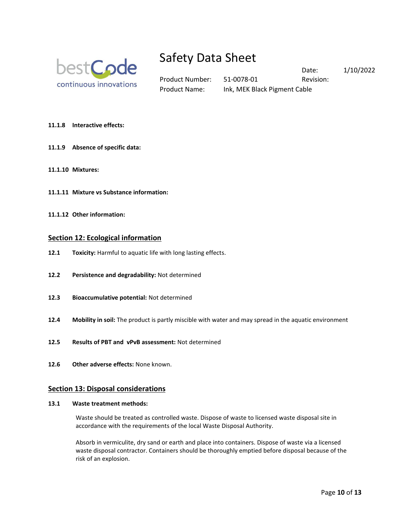

Product Name: Ink, MEK Black Pigment Cable

Product Number: 51-0078-01 Revision:

Date: 1/10/2022

- **11.1.8 Interactive effects:**
- **11.1.9 Absence of specific data:**
- **11.1.10 Mixtures:**
- **11.1.11 Mixture vs Substance information:**
- **11.1.12 Other information:**

#### **Section 12: Ecological information**

- **12.1 Toxicity:** Harmful to aquatic life with long lasting effects.
- **12.2 Persistence and degradability:** Not determined
- **12.3 Bioaccumulative potential:** Not determined
- **12.4 Mobility in soil:** The product is partly miscible with water and may spread in the aquatic environment
- **12.5 Results of PBT and vPvB assessment:** Not determined
- **12.6 Other adverse effects:** None known.

## **Section 13: Disposal considerations**

#### **13.1 Waste treatment methods:**

Waste should be treated as controlled waste. Dispose of waste to licensed waste disposal site in accordance with the requirements of the local Waste Disposal Authority.

Absorb in vermiculite, dry sand or earth and place into containers. Dispose of waste via a licensed waste disposal contractor. Containers should be thoroughly emptied before disposal because of the risk of an explosion.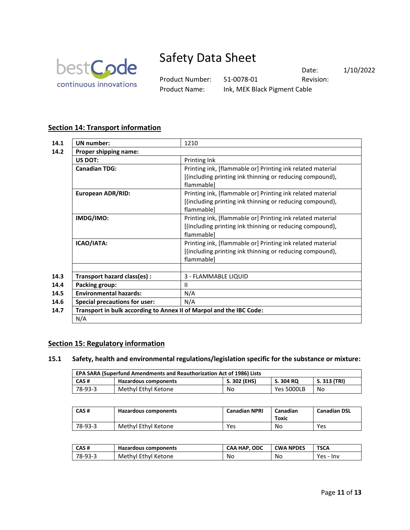

Product Number: 51-0078-01 Revision: Product Name: Ink, MEK Black Pigment Cable

Date: 1/10/2022

# **Section 14: Transport information**

| 14.1 | <b>UN</b> number:                                                   | 1210                                                                   |
|------|---------------------------------------------------------------------|------------------------------------------------------------------------|
| 14.2 | Proper shipping name:                                               |                                                                        |
|      | US DOT:                                                             | Printing Ink                                                           |
|      | <b>Canadian TDG:</b>                                                | Printing ink, [flammable or] Printing ink related material             |
|      |                                                                     | [(including printing ink thinning or reducing compound),<br>flammable] |
|      | <b>European ADR/RID:</b>                                            | Printing ink, [flammable or] Printing ink related material             |
|      |                                                                     | [(including printing ink thinning or reducing compound),<br>flammable] |
|      | IMDG/IMO:                                                           | Printing ink, [flammable or] Printing ink related material             |
|      |                                                                     | [(including printing ink thinning or reducing compound),<br>flammable] |
|      | ICAO/IATA:                                                          | Printing ink, [flammable or] Printing ink related material             |
|      |                                                                     | [(including printing ink thinning or reducing compound),<br>flammable] |
|      |                                                                     |                                                                        |
| 14.3 | Transport hazard class(es) :                                        | 3 - FLAMMABLE LIQUID                                                   |
| 14.4 | Packing group:                                                      | $\mathbf{H}$                                                           |
| 14.5 | <b>Environmental hazards:</b>                                       | N/A                                                                    |
| 14.6 | <b>Special precautions for user:</b>                                | N/A                                                                    |
| 14.7 | Transport in bulk according to Annex II of Marpol and the IBC Code: |                                                                        |
|      | N/A                                                                 |                                                                        |

# **Section 15: Regulatory information**

## **15.1 Safety, health and environmental regulations/legislation specific for the substance or mixture:**

| EPA SARA (Superfund Amendments and Reauthorization Act of 1986) Lists |                      |              |                   |              |
|-----------------------------------------------------------------------|----------------------|--------------|-------------------|--------------|
| CAS #                                                                 | Hazardous components | S. 302 (EHS) | S. 304 RQ         | S. 313 (TRI) |
| 78-93-3                                                               | Methyl Ethyl Ketone  | No           | <b>Yes 5000LB</b> | No           |

| CAS#    | Hazardous components | <b>Canadian NPRI</b> | Canadian<br>Toxic | <b>Canadian DSL</b> |
|---------|----------------------|----------------------|-------------------|---------------------|
| 78-93-3 | Methyl Ethyl Ketone  | Yes                  | No                | Yes                 |

| CAS#    | Hazardous components | . ODC<br>CAA HAP. | <b>CWA NPDES</b> | TSCA         |
|---------|----------------------|-------------------|------------------|--------------|
| 78-93-3 | Methyl Ethyl Ketone  | No                | No               | Yes<br>- Inv |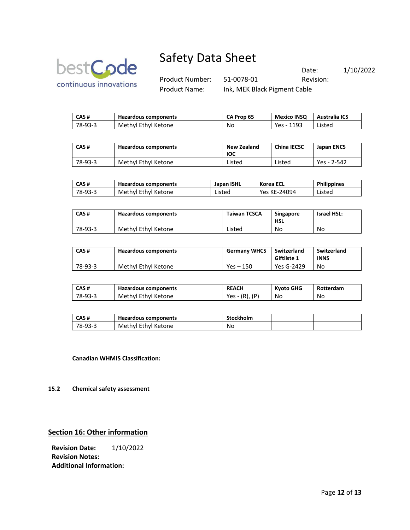

Product Number: 51-0078-01 Revision: Product Name: Ink, MEK Black Pigment Cable

Date: 1/10/2022

| CAS #   | Hazardous components | CA Prop 65 | <b>Mexico INSO</b> | <b>Australia ICS</b> |
|---------|----------------------|------------|--------------------|----------------------|
| 78-93-3 | Methyl Ethyl Ketone  | No         | Yes - 1193         | Listed               |

| CAS#    | Hazardous components | New Zealand<br><b>IOC</b> | <b>China IECSC</b> | <b>Japan ENCS</b> |
|---------|----------------------|---------------------------|--------------------|-------------------|
| 78-93-3 | Methyl Ethyl Ketone  | Listed                    | Listed             | Yes - 2-542       |

| CAS#    | Hazardous components | Japan ISHL | Korea ECL    | <b>Philippines</b> |
|---------|----------------------|------------|--------------|--------------------|
| 78-93-3 | Methyl Ethyl Ketone  | Listed     | Yes KE-24094 | Listed             |

| CAS#    | Hazardous components | <b>Taiwan TCSCA</b> | <b>Singapore</b><br><b>HSL</b> | <b>Israel HSL:</b> |
|---------|----------------------|---------------------|--------------------------------|--------------------|
| 78-93-3 | Methyl Ethyl Ketone  | Listed              | No                             | No                 |

| CAS#    | <b>Hazardous components</b> | <b>Germany WHCS</b> | Switzerland<br>Giftliste 1 | Switzerland<br><b>INNS</b> |
|---------|-----------------------------|---------------------|----------------------------|----------------------------|
| 78-93-3 | Methyl Ethyl Ketone         | Yes – 150           | Yes G-2429                 | No                         |

| CAS#    | Hazardous components | <b>REACH</b>        | Kyoto GHG | <b>Rotterdam</b> |
|---------|----------------------|---------------------|-----------|------------------|
| 78-93-3 | Methyl Ethyl Ketone  | Yes $- (R)$ , $(P)$ | No        | No               |

| CAS#    | Hazardous components | Stockholm |  |
|---------|----------------------|-----------|--|
| 78-93-3 | Methyl Ethyl Ketone  | No        |  |

**Canadian WHMIS Classification:**

**15.2 Chemical safety assessment**

# **Section 16: Other information**

**Revision Date:** 1/10/2022 **Revision Notes: Additional Information:**